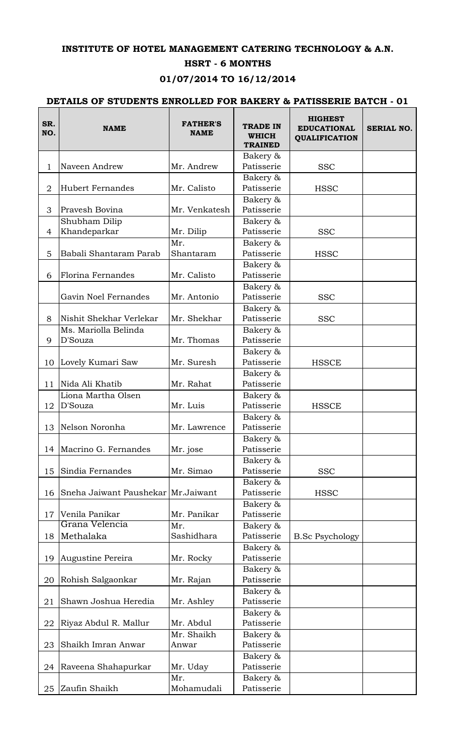## **INSTITUTE OF HOTEL MANAGEMENT CATERING TECHNOLOGY & A.N.**

## **HSRT - 6 MONTHS**

## **01/07/2014 TO 16/12/2014**

## **DETAILS OF STUDENTS ENROLLED FOR BAKERY & PATISSERIE BATCH - 01**

| SR.<br>NO.     | <b>NAME</b>                         | <b>FATHER'S</b><br><b>NAME</b> | <b>TRADE IN</b><br><b>WHICH</b><br><b>TRAINED</b> | <b>HIGHEST</b><br><b>EDUCATIONAL</b><br><b>QUALIFICATION</b> | <b>SERIAL NO.</b> |
|----------------|-------------------------------------|--------------------------------|---------------------------------------------------|--------------------------------------------------------------|-------------------|
|                |                                     |                                | Bakery &                                          |                                                              |                   |
| 1              | Naveen Andrew                       | Mr. Andrew                     | Patisserie                                        | <b>SSC</b>                                                   |                   |
|                |                                     |                                | Bakery &                                          |                                                              |                   |
| $\overline{2}$ | Hubert Fernandes                    | Mr. Calisto                    | Patisserie                                        | <b>HSSC</b>                                                  |                   |
|                |                                     |                                | Bakery &                                          |                                                              |                   |
| 3              | Pravesh Bovina                      | Mr. Venkatesh                  | Patisserie                                        |                                                              |                   |
|                | Shubham Dilip                       |                                | Bakery &                                          |                                                              |                   |
| 4              | Khandeparkar                        | Mr. Dilip                      | Patisserie                                        | <b>SSC</b>                                                   |                   |
|                |                                     | Mr.                            | Bakery &                                          |                                                              |                   |
| 5              | Babali Shantaram Parab              | Shantaram                      | Patisserie                                        | <b>HSSC</b>                                                  |                   |
|                |                                     |                                | Bakery &                                          |                                                              |                   |
| 6              | Florina Fernandes                   | Mr. Calisto                    | Patisserie                                        |                                                              |                   |
|                |                                     |                                | Bakery &                                          |                                                              |                   |
|                | Gavin Noel Fernandes                | Mr. Antonio                    | Patisserie                                        | <b>SSC</b>                                                   |                   |
|                |                                     |                                | Bakery &                                          |                                                              |                   |
| 8              | Nishit Shekhar Verlekar             | Mr. Shekhar                    | Patisserie                                        | <b>SSC</b>                                                   |                   |
|                | Ms. Mariolla Belinda                |                                | Bakery &                                          |                                                              |                   |
| 9              | D'Souza                             | Mr. Thomas                     | Patisserie                                        |                                                              |                   |
|                |                                     |                                | Bakery &                                          |                                                              |                   |
| 10             | Lovely Kumari Saw                   | Mr. Suresh                     | Patisserie                                        | <b>HSSCE</b>                                                 |                   |
|                |                                     |                                | Bakery &                                          |                                                              |                   |
| 11             | Nida Ali Khatib                     | Mr. Rahat                      | Patisserie                                        |                                                              |                   |
|                | Liona Martha Olsen                  |                                | Bakery &                                          |                                                              |                   |
| 12             | D'Souza                             | Mr. Luis                       | Patisserie                                        | <b>HSSCE</b>                                                 |                   |
|                |                                     |                                | Bakery &                                          |                                                              |                   |
| 13             | Nelson Noronha                      | Mr. Lawrence                   | Patisserie                                        |                                                              |                   |
|                |                                     |                                | Bakery &                                          |                                                              |                   |
| 14             | Macrino G. Fernandes                | Mr. jose                       | Patisserie                                        |                                                              |                   |
|                |                                     |                                | Bakery &                                          |                                                              |                   |
| 15             | Sindia Fernandes                    | Mr. Simao                      | Patisserie                                        | <b>SSC</b>                                                   |                   |
|                |                                     |                                | Bakery &                                          |                                                              |                   |
| 16             | Sneha Jaiwant Paushekar Mr. Jaiwant |                                | Patisserie                                        | <b>HSSC</b>                                                  |                   |
|                |                                     |                                | Bakery &                                          |                                                              |                   |
| 17             | Venila Panikar<br>Grana Velencia    | Mr. Panikar                    | Patisserie                                        |                                                              |                   |
|                |                                     | Mr.                            | Bakery &                                          |                                                              |                   |
| 18             | Methalaka                           | Sashidhara                     | Patisserie                                        | <b>B.Sc Psychology</b>                                       |                   |
|                |                                     |                                | Bakery &                                          |                                                              |                   |
| 19             | Augustine Pereira                   | Mr. Rocky                      | Patisserie                                        |                                                              |                   |
|                |                                     |                                | Bakery &                                          |                                                              |                   |
| 20             | Rohish Salgaonkar                   | Mr. Rajan                      | Patisserie                                        |                                                              |                   |
|                |                                     |                                | Bakery &                                          |                                                              |                   |
| 21             | Shawn Joshua Heredia                | Mr. Ashley                     | Patisserie                                        |                                                              |                   |
| 22             | Riyaz Abdul R. Mallur               | Mr. Abdul                      | Bakery &<br>Patisserie                            |                                                              |                   |
|                |                                     | Mr. Shaikh                     | Bakery &                                          |                                                              |                   |
| 23             | Shaikh Imran Anwar                  | Anwar                          | Patisserie                                        |                                                              |                   |
|                |                                     |                                | Bakery &                                          |                                                              |                   |
| 24             | Raveena Shahapurkar                 | Mr. Uday                       | Patisserie                                        |                                                              |                   |
|                |                                     | Mr.                            | Bakery &                                          |                                                              |                   |
| 25             | Zaufin Shaikh                       | Mohamudali                     | Patisserie                                        |                                                              |                   |